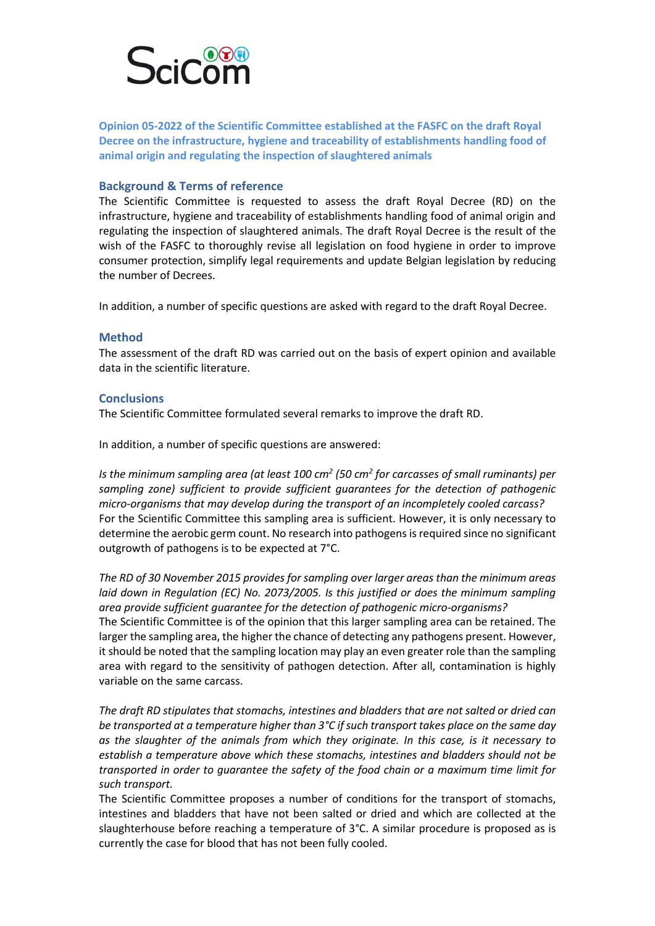

**Opinion 05-2022 of the Scientific Committee established at the FASFC on the draft Royal Decree on the infrastructure, hygiene and traceability of establishments handling food of animal origin and regulating the inspection of slaughtered animals**

## **Background & Terms of reference**

The Scientific Committee is requested to assess the draft Royal Decree (RD) on the infrastructure, hygiene and traceability of establishments handling food of animal origin and regulating the inspection of slaughtered animals. The draft Royal Decree is the result of the wish of the FASFC to thoroughly revise all legislation on food hygiene in order to improve consumer protection, simplify legal requirements and update Belgian legislation by reducing the number of Decrees.

In addition, a number of specific questions are asked with regard to the draft Royal Decree.

## **Method**

The assessment of the draft RD was carried out on the basis of expert opinion and available data in the scientific literature.

## **Conclusions**

The Scientific Committee formulated several remarks to improve the draft RD.

In addition, a number of specific questions are answered:

*Is the minimum sampling area (at least 100 cm2 (50 cm2 for carcasses of small ruminants) per sampling zone) sufficient to provide sufficient guarantees for the detection of pathogenic micro-organisms that may develop during the transport of an incompletely cooled carcass?* For the Scientific Committee this sampling area is sufficient. However, it is only necessary to determine the aerobic germ count. No research into pathogens is required since no significant outgrowth of pathogens is to be expected at 7°C.

*The RD of 30 November 2015 provides for sampling over larger areas than the minimum areas laid down in Regulation (EC) No. 2073/2005. Is this justified or does the minimum sampling area provide sufficient guarantee for the detection of pathogenic micro-organisms?* The Scientific Committee is of the opinion that this larger sampling area can be retained. The larger the sampling area, the higher the chance of detecting any pathogens present. However, it should be noted that the sampling location may play an even greater role than the sampling area with regard to the sensitivity of pathogen detection. After all, contamination is highly variable on the same carcass.

*The draft RD stipulates that stomachs, intestines and bladders that are not salted or dried can be transported at a temperature higher than 3°C if such transport takes place on the same day as the slaughter of the animals from which they originate. In this case, is it necessary to establish a temperature above which these stomachs, intestines and bladders should not be transported in order to guarantee the safety of the food chain or a maximum time limit for such transport.* 

The Scientific Committee proposes a number of conditions for the transport of stomachs, intestines and bladders that have not been salted or dried and which are collected at the slaughterhouse before reaching a temperature of 3°C. A similar procedure is proposed as is currently the case for blood that has not been fully cooled.